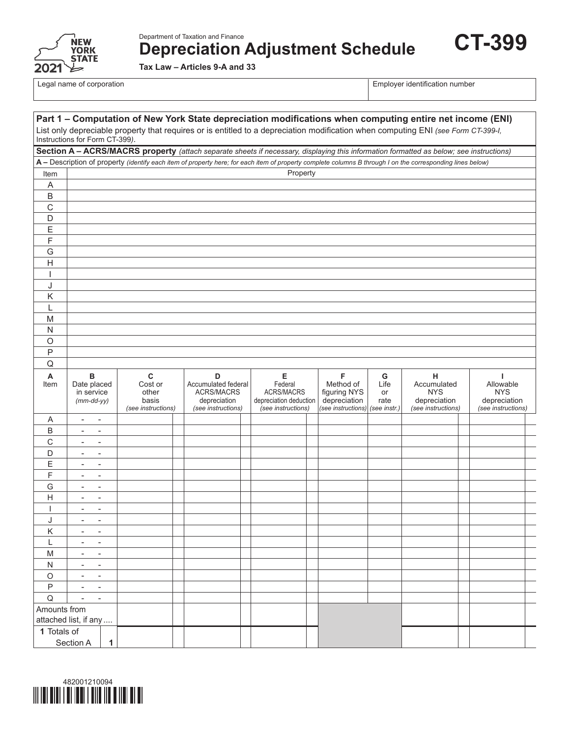

Department of Taxation and Finance **Depreciation Adjustment Schedule**

**Tax Law – Articles 9-A and 33**

Legal name of corporation **Employer identification** number

**CT-399**

| Part 1 - Computation of New York State depreciation modifications when computing entire net income (ENI)                                                            |                                                      |             |                                                                |  |                                                                                     |                                                                            |  |                                                                      |                                         |                                                                      |  |                                                                     |  |
|---------------------------------------------------------------------------------------------------------------------------------------------------------------------|------------------------------------------------------|-------------|----------------------------------------------------------------|--|-------------------------------------------------------------------------------------|----------------------------------------------------------------------------|--|----------------------------------------------------------------------|-----------------------------------------|----------------------------------------------------------------------|--|---------------------------------------------------------------------|--|
| List only depreciable property that requires or is entitled to a depreciation modification when computing ENI (see Form CT-399-I,<br>Instructions for Form CT-399). |                                                      |             |                                                                |  |                                                                                     |                                                                            |  |                                                                      |                                         |                                                                      |  |                                                                     |  |
| Section A - ACRS/MACRS property (attach separate sheets if necessary, displaying this information formatted as below; see instructions)                             |                                                      |             |                                                                |  |                                                                                     |                                                                            |  |                                                                      |                                         |                                                                      |  |                                                                     |  |
| A - Description of property (identify each item of property here; for each item of property complete columns B through I on the corresponding lines below)          |                                                      |             |                                                                |  |                                                                                     |                                                                            |  |                                                                      |                                         |                                                                      |  |                                                                     |  |
| Item                                                                                                                                                                |                                                      |             |                                                                |  |                                                                                     | Property                                                                   |  |                                                                      |                                         |                                                                      |  |                                                                     |  |
| A                                                                                                                                                                   |                                                      |             |                                                                |  |                                                                                     |                                                                            |  |                                                                      |                                         |                                                                      |  |                                                                     |  |
| $\sf B$                                                                                                                                                             |                                                      |             |                                                                |  |                                                                                     |                                                                            |  |                                                                      |                                         |                                                                      |  |                                                                     |  |
| C                                                                                                                                                                   |                                                      |             |                                                                |  |                                                                                     |                                                                            |  |                                                                      |                                         |                                                                      |  |                                                                     |  |
| D                                                                                                                                                                   |                                                      |             |                                                                |  |                                                                                     |                                                                            |  |                                                                      |                                         |                                                                      |  |                                                                     |  |
| Ε                                                                                                                                                                   |                                                      |             |                                                                |  |                                                                                     |                                                                            |  |                                                                      |                                         |                                                                      |  |                                                                     |  |
| F                                                                                                                                                                   |                                                      |             |                                                                |  |                                                                                     |                                                                            |  |                                                                      |                                         |                                                                      |  |                                                                     |  |
| G                                                                                                                                                                   |                                                      |             |                                                                |  |                                                                                     |                                                                            |  |                                                                      |                                         |                                                                      |  |                                                                     |  |
| Н                                                                                                                                                                   |                                                      |             |                                                                |  |                                                                                     |                                                                            |  |                                                                      |                                         |                                                                      |  |                                                                     |  |
| ı                                                                                                                                                                   |                                                      |             |                                                                |  |                                                                                     |                                                                            |  |                                                                      |                                         |                                                                      |  |                                                                     |  |
| J                                                                                                                                                                   |                                                      |             |                                                                |  |                                                                                     |                                                                            |  |                                                                      |                                         |                                                                      |  |                                                                     |  |
| Κ                                                                                                                                                                   |                                                      |             |                                                                |  |                                                                                     |                                                                            |  |                                                                      |                                         |                                                                      |  |                                                                     |  |
| L                                                                                                                                                                   |                                                      |             |                                                                |  |                                                                                     |                                                                            |  |                                                                      |                                         |                                                                      |  |                                                                     |  |
| M                                                                                                                                                                   |                                                      |             |                                                                |  |                                                                                     |                                                                            |  |                                                                      |                                         |                                                                      |  |                                                                     |  |
| N                                                                                                                                                                   |                                                      |             |                                                                |  |                                                                                     |                                                                            |  |                                                                      |                                         |                                                                      |  |                                                                     |  |
| $\circ$                                                                                                                                                             |                                                      |             |                                                                |  |                                                                                     |                                                                            |  |                                                                      |                                         |                                                                      |  |                                                                     |  |
| $\sf P$                                                                                                                                                             |                                                      |             |                                                                |  |                                                                                     |                                                                            |  |                                                                      |                                         |                                                                      |  |                                                                     |  |
| Q                                                                                                                                                                   |                                                      |             |                                                                |  |                                                                                     |                                                                            |  |                                                                      |                                         |                                                                      |  |                                                                     |  |
| A<br>Item                                                                                                                                                           | B<br>Date placed<br>in service<br>$(mm$ -dd-yy $)$   |             | $\mathbf C$<br>Cost or<br>other<br>basis<br>(see instructions) |  | D<br>Accumulated federal<br><b>ACRS/MACRS</b><br>depreciation<br>(see instructions) | Е<br>Federal<br>ACRS/MACRS<br>depreciation deduction<br>(see instructions) |  | F<br>Method of<br>figuring NYS<br>depreciation<br>(see instructions) | G<br>Life<br>or<br>rate<br>(see instr.) | н<br>Accumulated<br><b>NYS</b><br>depreciation<br>(see instructions) |  | т.<br>Allowable<br><b>NYS</b><br>depreciation<br>(see instructions) |  |
| A                                                                                                                                                                   | $\overline{\phantom{a}}$<br>$\overline{\phantom{a}}$ |             |                                                                |  |                                                                                     |                                                                            |  |                                                                      |                                         |                                                                      |  |                                                                     |  |
| B                                                                                                                                                                   | $\overline{\phantom{a}}$                             |             |                                                                |  |                                                                                     |                                                                            |  |                                                                      |                                         |                                                                      |  |                                                                     |  |
| С                                                                                                                                                                   | $\overline{\phantom{a}}$<br>$\overline{\phantom{a}}$ |             |                                                                |  |                                                                                     |                                                                            |  |                                                                      |                                         |                                                                      |  |                                                                     |  |
| D                                                                                                                                                                   |                                                      |             |                                                                |  |                                                                                     |                                                                            |  |                                                                      |                                         |                                                                      |  |                                                                     |  |
| Ε                                                                                                                                                                   | $\overline{\phantom{a}}$<br>$\overline{\phantom{0}}$ |             |                                                                |  |                                                                                     |                                                                            |  |                                                                      |                                         |                                                                      |  |                                                                     |  |
| F                                                                                                                                                                   | $\overline{\phantom{a}}$                             |             |                                                                |  |                                                                                     |                                                                            |  |                                                                      |                                         |                                                                      |  |                                                                     |  |
| G                                                                                                                                                                   | $\overline{\phantom{a}}$<br>$\overline{\phantom{0}}$ |             |                                                                |  |                                                                                     |                                                                            |  |                                                                      |                                         |                                                                      |  |                                                                     |  |
| H                                                                                                                                                                   |                                                      |             |                                                                |  |                                                                                     |                                                                            |  |                                                                      |                                         |                                                                      |  |                                                                     |  |
| I                                                                                                                                                                   | $\overline{\phantom{a}}$<br>$\overline{\phantom{0}}$ |             |                                                                |  |                                                                                     |                                                                            |  |                                                                      |                                         |                                                                      |  |                                                                     |  |
| J                                                                                                                                                                   | $\overline{\phantom{0}}$                             |             |                                                                |  |                                                                                     |                                                                            |  |                                                                      |                                         |                                                                      |  |                                                                     |  |
| K                                                                                                                                                                   |                                                      |             |                                                                |  |                                                                                     |                                                                            |  |                                                                      |                                         |                                                                      |  |                                                                     |  |
| L                                                                                                                                                                   | $\overline{\phantom{a}}$<br>$\overline{\phantom{0}}$ |             |                                                                |  |                                                                                     |                                                                            |  |                                                                      |                                         |                                                                      |  |                                                                     |  |
| M                                                                                                                                                                   | $\overline{\phantom{a}}$<br>$\overline{\phantom{0}}$ |             |                                                                |  |                                                                                     |                                                                            |  |                                                                      |                                         |                                                                      |  |                                                                     |  |
| N                                                                                                                                                                   | $\overline{\phantom{a}}$<br>$\overline{\phantom{0}}$ |             |                                                                |  |                                                                                     |                                                                            |  |                                                                      |                                         |                                                                      |  |                                                                     |  |
| $\circ$                                                                                                                                                             | $\overline{\phantom{a}}$<br>$\blacksquare$           |             |                                                                |  |                                                                                     |                                                                            |  |                                                                      |                                         |                                                                      |  |                                                                     |  |
| $\sf P$                                                                                                                                                             | $\overline{\phantom{0}}$<br>$\overline{\phantom{a}}$ |             |                                                                |  |                                                                                     |                                                                            |  |                                                                      |                                         |                                                                      |  |                                                                     |  |
| Q                                                                                                                                                                   | $\blacksquare$<br>$\overline{a}$                     |             |                                                                |  |                                                                                     |                                                                            |  |                                                                      |                                         |                                                                      |  |                                                                     |  |
| Amounts from                                                                                                                                                        |                                                      |             |                                                                |  |                                                                                     |                                                                            |  |                                                                      |                                         |                                                                      |  |                                                                     |  |
| attached list, if any                                                                                                                                               |                                                      |             |                                                                |  |                                                                                     |                                                                            |  |                                                                      |                                         |                                                                      |  |                                                                     |  |
|                                                                                                                                                                     | 1 Totals of                                          |             |                                                                |  |                                                                                     |                                                                            |  |                                                                      |                                         |                                                                      |  |                                                                     |  |
|                                                                                                                                                                     | Section A                                            | $\mathbf 1$ |                                                                |  |                                                                                     |                                                                            |  |                                                                      |                                         |                                                                      |  |                                                                     |  |

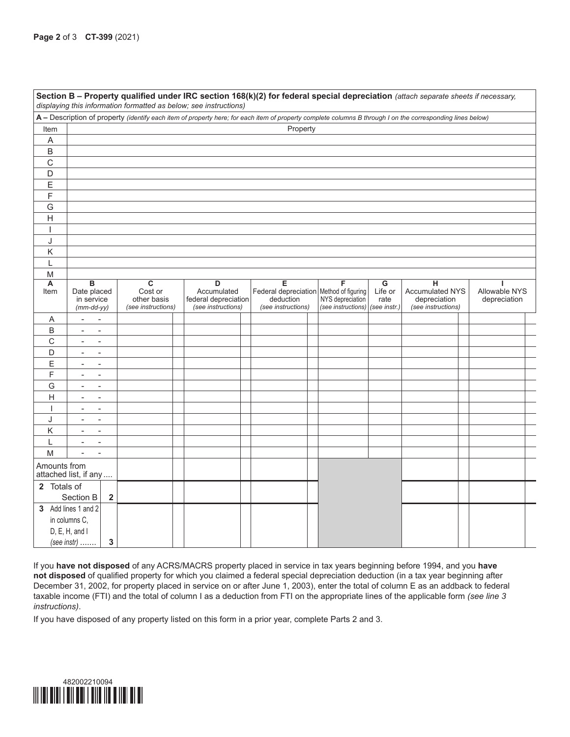| Section B - Property qualified under IRC section 168(k)(2) for federal special depreciation (attach separate sheets if necessary,<br>displaying this information formatted as below; see instructions) |                                                                                                                                                            |              |                                    |  |                      |  |                                              |  |                                 |                                    |                             |               |
|--------------------------------------------------------------------------------------------------------------------------------------------------------------------------------------------------------|------------------------------------------------------------------------------------------------------------------------------------------------------------|--------------|------------------------------------|--|----------------------|--|----------------------------------------------|--|---------------------------------|------------------------------------|-----------------------------|---------------|
|                                                                                                                                                                                                        | A - Description of property (identify each item of property here; for each item of property complete columns B through I on the corresponding lines below) |              |                                    |  |                      |  |                                              |  |                                 |                                    |                             |               |
| Item                                                                                                                                                                                                   | Property                                                                                                                                                   |              |                                    |  |                      |  |                                              |  |                                 |                                    |                             |               |
| A                                                                                                                                                                                                      |                                                                                                                                                            |              |                                    |  |                      |  |                                              |  |                                 |                                    |                             |               |
| B                                                                                                                                                                                                      |                                                                                                                                                            |              |                                    |  |                      |  |                                              |  |                                 |                                    |                             |               |
| C                                                                                                                                                                                                      |                                                                                                                                                            |              |                                    |  |                      |  |                                              |  |                                 |                                    |                             |               |
| D                                                                                                                                                                                                      |                                                                                                                                                            |              |                                    |  |                      |  |                                              |  |                                 |                                    |                             |               |
| Ε                                                                                                                                                                                                      |                                                                                                                                                            |              |                                    |  |                      |  |                                              |  |                                 |                                    |                             |               |
| F                                                                                                                                                                                                      |                                                                                                                                                            |              |                                    |  |                      |  |                                              |  |                                 |                                    |                             |               |
| G                                                                                                                                                                                                      |                                                                                                                                                            |              |                                    |  |                      |  |                                              |  |                                 |                                    |                             |               |
| $\overline{H}$                                                                                                                                                                                         |                                                                                                                                                            |              |                                    |  |                      |  |                                              |  |                                 |                                    |                             |               |
| I                                                                                                                                                                                                      |                                                                                                                                                            |              |                                    |  |                      |  |                                              |  |                                 |                                    |                             |               |
| J                                                                                                                                                                                                      |                                                                                                                                                            |              |                                    |  |                      |  |                                              |  |                                 |                                    |                             |               |
| Κ                                                                                                                                                                                                      |                                                                                                                                                            |              |                                    |  |                      |  |                                              |  |                                 |                                    |                             |               |
| L                                                                                                                                                                                                      |                                                                                                                                                            |              |                                    |  |                      |  |                                              |  |                                 |                                    |                             |               |
| M                                                                                                                                                                                                      |                                                                                                                                                            |              |                                    |  |                      |  |                                              |  |                                 |                                    |                             |               |
| А<br>Item                                                                                                                                                                                              | в<br>Date placed                                                                                                                                           |              | $\overline{\mathbf{c}}$<br>Cost or |  | D<br>Accumulated     |  | E<br>Federal depreciation Method of figuring |  | F                               | $\overline{\mathsf{G}}$<br>Life or | н<br><b>Accumulated NYS</b> | Allowable NYS |
|                                                                                                                                                                                                        | in service                                                                                                                                                 |              | other basis                        |  | federal depreciation |  | deduction                                    |  | NYS depreciation                | rate                               | depreciation                | depreciation  |
|                                                                                                                                                                                                        | $(mm$ -dd-yy $)$                                                                                                                                           |              | (see instructions)                 |  | (see instructions)   |  | (see instructions)                           |  | (see instructions) (see instr.) |                                    | (see instructions)          |               |
| Α                                                                                                                                                                                                      | $\overline{\phantom{a}}$<br>$\overline{\phantom{a}}$                                                                                                       |              |                                    |  |                      |  |                                              |  |                                 |                                    |                             |               |
| B                                                                                                                                                                                                      | $\overline{\phantom{a}}$<br>$\overline{\phantom{a}}$                                                                                                       |              |                                    |  |                      |  |                                              |  |                                 |                                    |                             |               |
| $\mathsf C$                                                                                                                                                                                            | $\overline{\phantom{a}}$<br>$\overline{\phantom{a}}$                                                                                                       |              |                                    |  |                      |  |                                              |  |                                 |                                    |                             |               |
| D                                                                                                                                                                                                      | $\blacksquare$<br>$\overline{\phantom{a}}$                                                                                                                 |              |                                    |  |                      |  |                                              |  |                                 |                                    |                             |               |
| Ε                                                                                                                                                                                                      | $\overline{\phantom{a}}$<br>$\overline{\phantom{0}}$                                                                                                       |              |                                    |  |                      |  |                                              |  |                                 |                                    |                             |               |
| $\mathsf F$                                                                                                                                                                                            | $\blacksquare$<br>$\blacksquare$                                                                                                                           |              |                                    |  |                      |  |                                              |  |                                 |                                    |                             |               |
| G                                                                                                                                                                                                      | $\overline{\phantom{a}}$<br>$\overline{\phantom{a}}$                                                                                                       |              |                                    |  |                      |  |                                              |  |                                 |                                    |                             |               |
| $\mathsf{H}$                                                                                                                                                                                           | $\overline{\phantom{a}}$<br>$\overline{\phantom{0}}$                                                                                                       |              |                                    |  |                      |  |                                              |  |                                 |                                    |                             |               |
|                                                                                                                                                                                                        | $\overline{a}$<br>$\blacksquare$                                                                                                                           |              |                                    |  |                      |  |                                              |  |                                 |                                    |                             |               |
| J                                                                                                                                                                                                      | $\overline{\phantom{a}}$<br>$\blacksquare$                                                                                                                 |              |                                    |  |                      |  |                                              |  |                                 |                                    |                             |               |
| Κ                                                                                                                                                                                                      | $\overline{\phantom{a}}$                                                                                                                                   |              |                                    |  |                      |  |                                              |  |                                 |                                    |                             |               |
| L                                                                                                                                                                                                      | $\blacksquare$<br>$\overline{a}$                                                                                                                           |              |                                    |  |                      |  |                                              |  |                                 |                                    |                             |               |
| M                                                                                                                                                                                                      | $\overline{\phantom{a}}$<br>$\overline{\phantom{a}}$                                                                                                       |              |                                    |  |                      |  |                                              |  |                                 |                                    |                             |               |
| Amounts from                                                                                                                                                                                           | attached list, if any                                                                                                                                      |              |                                    |  |                      |  |                                              |  |                                 |                                    |                             |               |
| 2 Totals of                                                                                                                                                                                            |                                                                                                                                                            |              |                                    |  |                      |  |                                              |  |                                 |                                    |                             |               |
|                                                                                                                                                                                                        | Section B                                                                                                                                                  | $\mathbf 2$  |                                    |  |                      |  |                                              |  |                                 |                                    |                             |               |
|                                                                                                                                                                                                        | 3 Add lines 1 and 2                                                                                                                                        |              |                                    |  |                      |  |                                              |  |                                 |                                    |                             |               |
|                                                                                                                                                                                                        | in columns C,                                                                                                                                              |              |                                    |  |                      |  |                                              |  |                                 |                                    |                             |               |
|                                                                                                                                                                                                        | D, E, H, and I                                                                                                                                             |              |                                    |  |                      |  |                                              |  |                                 |                                    |                             |               |
|                                                                                                                                                                                                        | (see instr)                                                                                                                                                | $\mathbf{3}$ |                                    |  |                      |  |                                              |  |                                 |                                    |                             |               |

If you **have not disposed** of any ACRS/MACRS property placed in service in tax years beginning before 1994, and you **have not disposed** of qualified property for which you claimed a federal special depreciation deduction (in a tax year beginning after December 31, 2002, for property placed in service on or after June 1, 2003), enter the total of column E as an addback to federal taxable income (FTI) and the total of column I as a deduction from FTI on the appropriate lines of the applicable form *(see line 3 instructions)*.

If you have disposed of any property listed on this form in a prior year, complete Parts 2 and 3.